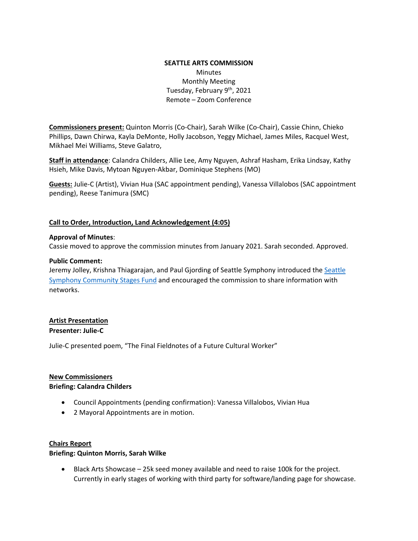# **SEATTLE ARTS COMMISSION Minutes** Monthly Meeting Tuesday, February 9<sup>th</sup>, 2021 Remote – Zoom Conference

**Commissioners present:** Quinton Morris (Co-Chair), Sarah Wilke (Co-Chair), Cassie Chinn, Chieko Phillips, Dawn Chirwa, Kayla DeMonte, Holly Jacobson, Yeggy Michael, James Miles, Racquel West, Mikhael Mei Williams, Steve Galatro,

**Staff in attendance**: Calandra Childers, Allie Lee, Amy Nguyen, Ashraf Hasham, Erika Lindsay, Kathy Hsieh, Mike Davis, Mytoan Nguyen-Akbar, Dominique Stephens (MO)

**Guests:** Julie-C (Artist), Vivian Hua (SAC appointment pending), Vanessa Villalobos (SAC appointment pending), Reese Tanimura (SMC)

#### **Call to Order, Introduction, Land Acknowledgement (4:05)**

#### **Approval of Minutes**:

Cassie moved to approve the commission minutes from January 2021. Sarah seconded. Approved.

#### **Public Comment:**

Jeremy Jolley, Krishna Thiagarajan, and Paul Gjording of [Seattle](https://seattlesymphony.org/communitystages) Symphony introduced the Seattle [Symphony Community Stages Fund](https://seattlesymphony.org/communitystages) and encouraged the commission to share information with networks.

# **Artist Presentation Presenter: Julie-C**

Julie-C presented poem, "The Final Fieldnotes of a Future Cultural Worker"

## **New Commissioners**

#### **Briefing: Calandra Childers**

- Council Appointments (pending confirmation): Vanessa Villalobos, Vivian Hua
- 2 Mayoral Appointments are in motion.

## **Chairs Report**

## **Briefing: Quinton Morris, Sarah Wilke**

• Black Arts Showcase – 25k seed money available and need to raise 100k for the project. Currently in early stages of working with third party for software/landing page for showcase.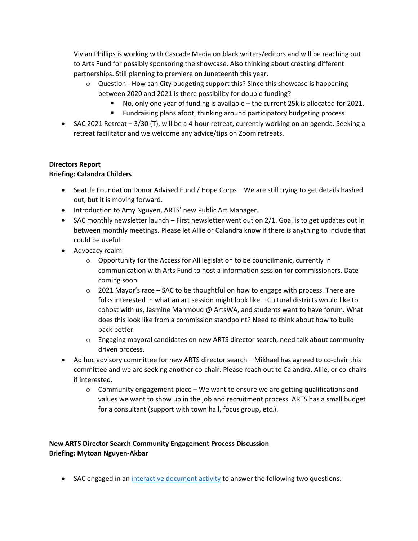Vivian Phillips is working with Cascade Media on black writers/editors and will be reaching out to Arts Fund for possibly sponsoring the showcase. Also thinking about creating different partnerships. Still planning to premiere on Juneteenth this year.

- $\circ$  Question How can City budgeting support this? Since this showcase is happening between 2020 and 2021 is there possibility for double funding?
	- No, only one year of funding is available the current 25k is allocated for 2021.
	- **Fundraising plans afoot, thinking around participatory budgeting process**
- SAC 2021 Retreat 3/30 (T), will be a 4-hour retreat, currently working on an agenda. Seeking a retreat facilitator and we welcome any advice/tips on Zoom retreats.

# **Directors Report**

# **Briefing: Calandra Childers**

- Seattle Foundation Donor Advised Fund / Hope Corps We are still trying to get details hashed out, but it is moving forward.
- Introduction to Amy Nguyen, ARTS' new Public Art Manager.
- SAC monthly newsletter launch First newsletter went out on 2/1. Goal is to get updates out in between monthly meetings. Please let Allie or Calandra know if there is anything to include that could be useful.
- Advocacy realm
	- $\circ$  Opportunity for the Access for All legislation to be councilmanic, currently in communication with Arts Fund to host a information session for commissioners. Date coming soon.
	- $\circ$  2021 Mayor's race SAC to be thoughtful on how to engage with process. There are folks interested in what an art session might look like – Cultural districts would like to cohost with us, Jasmine Mahmoud @ ArtsWA, and students want to have forum. What does this look like from a commission standpoint? Need to think about how to build back better.
	- o Engaging mayoral candidates on new ARTS director search, need talk about community driven process.
- Ad hoc advisory committee for new ARTS director search Mikhael has agreed to co-chair this committee and we are seeking another co-chair. Please reach out to Calandra, Allie, or co-chairs if interested.
	- $\circ$  Community engagement piece We want to ensure we are getting qualifications and values we want to show up in the job and recruitment process. ARTS has a small budget for a consultant (support with town hall, focus group, etc.).

# **New ARTS Director Search Community Engagement Process Discussion Briefing: Mytoan Nguyen-Akbar**

• SAC engaged in a[n interactive document activity](https://docs.google.com/document/d/1R-xvEvpjnk2M9xx5KbrwbVqyJmtI4_JO6sTxJS-BUUs/edit) to answer the following two questions: